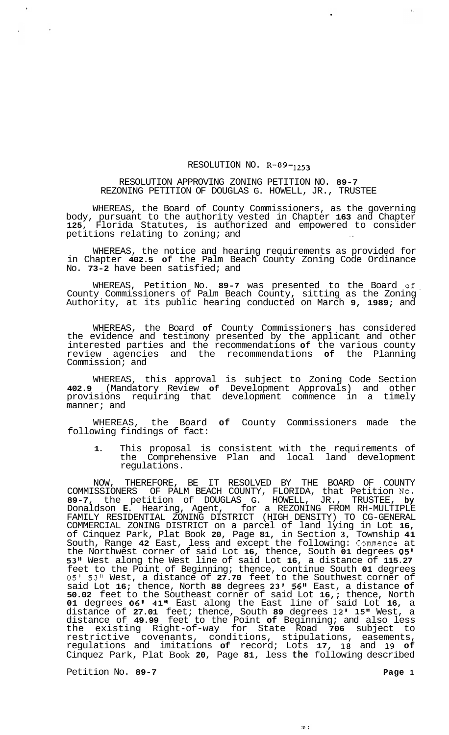## RESOLUTION NO. **R-89-1253**

## RESOLUTION APPROVING ZONING PETITION NO. **89-7**  REZONING PETITION OF DOUGLAS G. HOWELL, JR., TRUSTEE

WHEREAS, the Board of County Commissioners, as the governing body, pursuant to the authority vested in Chapter **163** and Chapter **125,** Florida Statutes, is authorized and empowered to consider petitions relating to zoning; and

WHEREAS, the notice and hearing requirements as provided for in Chapter **402.5 of** the Palm Beach County Zoning Code Ordinance No. **73-2** have been satisfied; and

WHEREAS, Petition No. **89-7** was presented to the Board of. County Commissioners of Palm Beach County, sitting as the Zoning Authority, at its public hearing conducted on March **9, 1989;** and

WHEREAS, the Board **of** County Commissioners has considered the evidence and testimony presented by the applicant and other interested parties and the recommendations **of** the various county review agencies and the recommendations **of** the Planning Commission; and

WHEREAS, this approval is subject to Zoning Code Section **402.9** (Mandatory Review **of** Development Approvals) and other provisions requiring that development commence in a timely manner; and

WHEREAS, the Board **of** County Commissioners made the following findings of fact:

**1.** This proposal is consistent with the requirements of the Comprehensive Plan and local land development regulations.

NOW, THEREFORE, BE IT RESOLVED BY THE BOARD OF COUNTY COMMISSIONERS OF PALM BEACH COUNTY, FLORIDA, that Petition No. **89-7,** the petition of DOUGLAS G. HOWELL, JR., TRUSTEE, **by**  Donaldson **E.** Hearing, Agent, for a REZONING FROM RH-MULTIPLE FAMILY RESIDENTIAL ZONING DISTRICT (HIGH DENSITY) TO CG-GENERAL COMMERCIAL ZONING DISTRICT on a parcel of land lying in Lot **16,**  of Cinquez Park, Plat Book **20,** Page **81,** in Section **3,** Township **41**  South, Range **42** East, less and except the following: Commence at the Northwest corner of said Lot **16,** thence, South **01** degrees *05'*  **53"** West along the West line of said Lot **16,** a distance of **115.27**  feet to the Point of Beginning; thence, continue South **01** degrees *05'* **53"** West, a distance of **27.70** feet to the Southwest corner of said Lot **16;** thence, North **88** degrees **23' 56"** East, a distance **of 50.02** feet to the Southeast corner of said Lot **16,;** thence, North **01** degrees **06' 41"** East along the East line of said Lot **16,** a distance of **27.01** feet; thence, South **89** degrees **12' 15"** West, a distance of **49.99** feet to the Point **of** Beginning; and also less the existing Right-of-way for State Road **706** subject to restrictive covenants, conditions, stipulations, easements, regulations and imitations **of** record; Lots **17, 18** and **19 of**  Cinquez Park, Plat Book **20,** Page **81,** less **the** following described

 $\mathcal{R}$  :

Petition No. 89-7 **Page 1 Page 1**